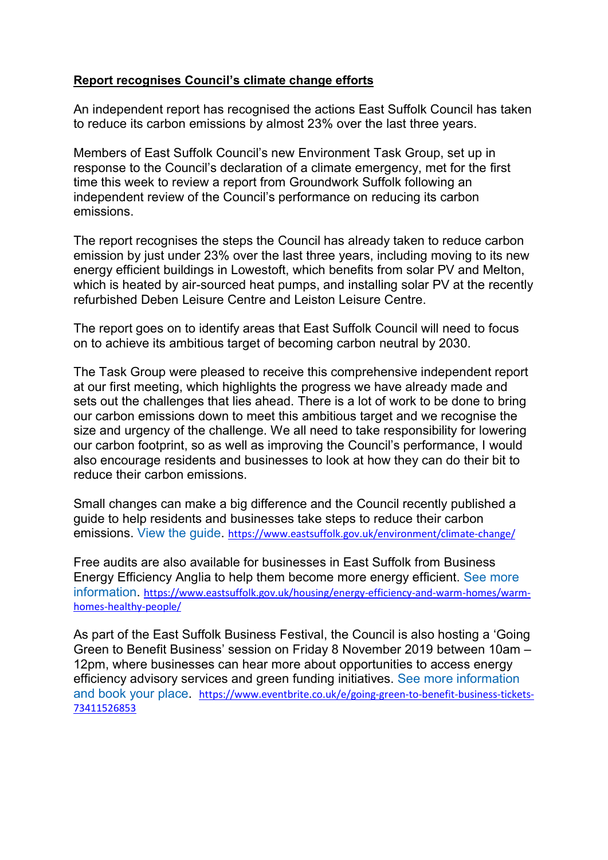#### Report recognises Council's climate change efforts

An independent report has recognised the actions East Suffolk Council has taken to reduce its carbon emissions by almost 23% over the last three years.

Members of East Suffolk Council's new Environment Task Group, set up in response to the Council's declaration of a climate emergency, met for the first time this week to review a report from Groundwork Suffolk following an independent review of the Council's performance on reducing its carbon emissions.

The report recognises the steps the Council has already taken to reduce carbon emission by just under 23% over the last three years, including moving to its new energy efficient buildings in Lowestoft, which benefits from solar PV and Melton, which is heated by air-sourced heat pumps, and installing solar PV at the recently refurbished Deben Leisure Centre and Leiston Leisure Centre.

The report goes on to identify areas that East Suffolk Council will need to focus on to achieve its ambitious target of becoming carbon neutral by 2030.

The Task Group were pleased to receive this comprehensive independent report at our first meeting, which highlights the progress we have already made and sets out the challenges that lies ahead. There is a lot of work to be done to bring our carbon emissions down to meet this ambitious target and we recognise the size and urgency of the challenge. We all need to take responsibility for lowering our carbon footprint, so as well as improving the Council's performance, I would also encourage residents and businesses to look at how they can do their bit to reduce their carbon emissions.

Small changes can make a big difference and the Council recently published a guide to help residents and businesses take steps to reduce their carbon emissions. View the guide. https://www.eastsuffolk.gov.uk/environment/climate-change/

Free audits are also available for businesses in East Suffolk from Business Energy Efficiency Anglia to help them become more energy efficient. See more information. https://www.eastsuffolk.gov.uk/housing/energy-efficiency-and-warm-homes/warmhomes-healthy-people/

As part of the East Suffolk Business Festival, the Council is also hosting a 'Going Green to Benefit Business' session on Friday 8 November 2019 between 10am – 12pm, where businesses can hear more about opportunities to access energy efficiency advisory services and green funding initiatives. See more information and book your place. https://www.eventbrite.co.uk/e/going-green-to-benefit-business-tickets-73411526853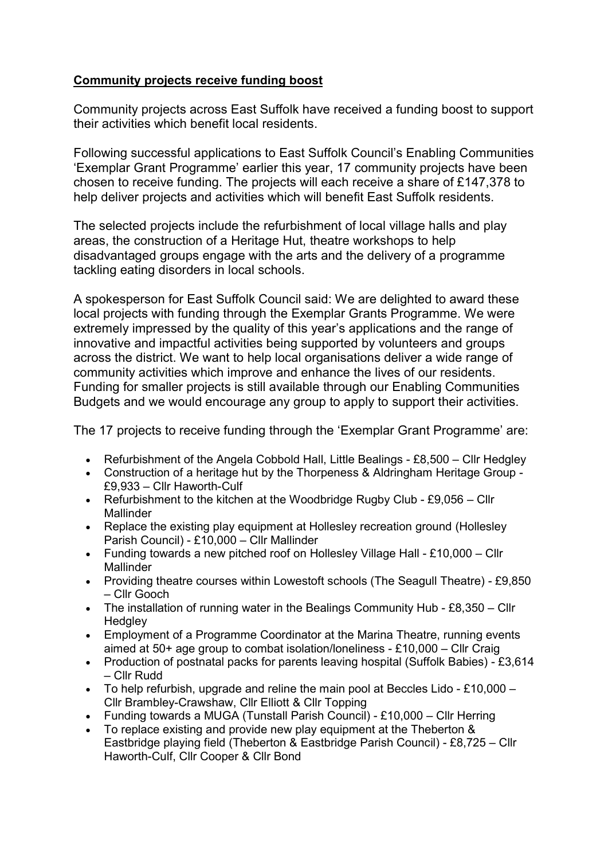### Community projects receive funding boost

Community projects across East Suffolk have received a funding boost to support their activities which benefit local residents.

Following successful applications to East Suffolk Council's Enabling Communities 'Exemplar Grant Programme' earlier this year, 17 community projects have been chosen to receive funding. The projects will each receive a share of £147,378 to help deliver projects and activities which will benefit East Suffolk residents.

The selected projects include the refurbishment of local village halls and play areas, the construction of a Heritage Hut, theatre workshops to help disadvantaged groups engage with the arts and the delivery of a programme tackling eating disorders in local schools.

A spokesperson for East Suffolk Council said: We are delighted to award these local projects with funding through the Exemplar Grants Programme. We were extremely impressed by the quality of this year's applications and the range of innovative and impactful activities being supported by volunteers and groups across the district. We want to help local organisations deliver a wide range of community activities which improve and enhance the lives of our residents. Funding for smaller projects is still available through our Enabling Communities Budgets and we would encourage any group to apply to support their activities.

The 17 projects to receive funding through the 'Exemplar Grant Programme' are:

- Refurbishment of the Angela Cobbold Hall, Little Bealings  $£8,500 Cl$ Ir Hedgley
- Construction of a heritage hut by the Thorpeness & Aldringham Heritage Group £9,933 – Cllr Haworth-Culf
- Refurbishment to the kitchen at the Woodbridge Rugby Club £9,056 Cllr Mallinder
- Replace the existing play equipment at Hollesley recreation ground (Hollesley Parish Council) - £10,000 – Cllr Mallinder
- Funding towards a new pitched roof on Hollesley Village Hall £10,000 Cllr **Mallinder**
- Providing theatre courses within Lowestoft schools (The Seagull Theatre) £9,850 – Cllr Gooch
- The installation of running water in the Bealings Community Hub £8,350 Cllr **Hedgley**
- Employment of a Programme Coordinator at the Marina Theatre, running events aimed at 50+ age group to combat isolation/loneliness - £10,000 – Cllr Craig
- Production of postnatal packs for parents leaving hospital (Suffolk Babies) £3,614 – Cllr Rudd
- To help refurbish, upgrade and reline the main pool at Beccles Lido £10,000 Cllr Brambley-Crawshaw, Cllr Elliott & Cllr Topping
- Funding towards a MUGA (Tunstall Parish Council) £10,000 Cllr Herring
- To replace existing and provide new play equipment at the Theberton & Eastbridge playing field (Theberton & Eastbridge Parish Council) - £8,725 – Cllr Haworth-Culf, Cllr Cooper & Cllr Bond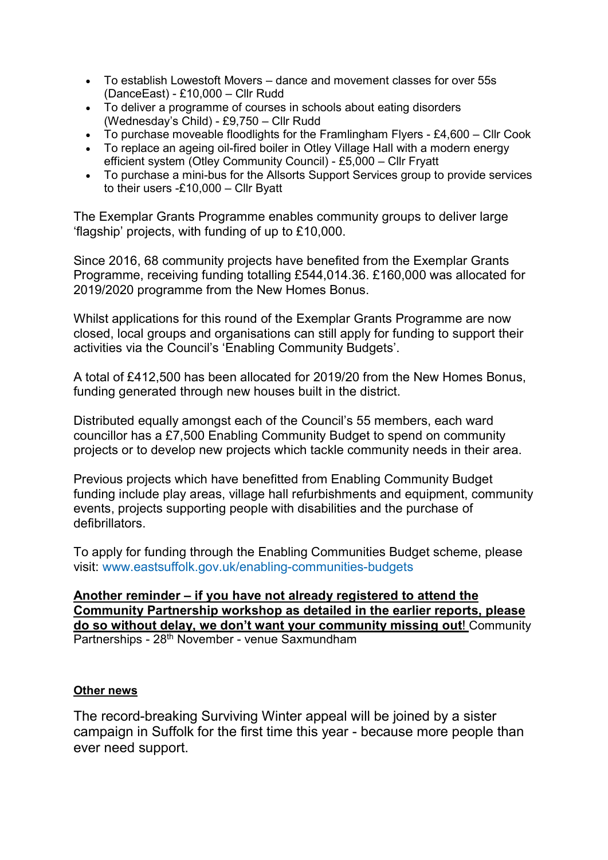- To establish Lowestoft Movers dance and movement classes for over 55s (DanceEast) - £10,000 – Cllr Rudd
- To deliver a programme of courses in schools about eating disorders (Wednesday's Child) - £9,750 – Cllr Rudd
- To purchase moveable floodlights for the Framlingham Flyers £4,600 Cllr Cook
- To replace an ageing oil-fired boiler in Otley Village Hall with a modern energy efficient system (Otley Community Council) - £5,000 – Cllr Fryatt
- To purchase a mini-bus for the Allsorts Support Services group to provide services to their users -£10,000 – Cllr Byatt

The Exemplar Grants Programme enables community groups to deliver large 'flagship' projects, with funding of up to £10,000.

Since 2016, 68 community projects have benefited from the Exemplar Grants Programme, receiving funding totalling £544,014.36. £160,000 was allocated for 2019/2020 programme from the New Homes Bonus.

Whilst applications for this round of the Exemplar Grants Programme are now closed, local groups and organisations can still apply for funding to support their activities via the Council's 'Enabling Community Budgets'.

A total of £412,500 has been allocated for 2019/20 from the New Homes Bonus, funding generated through new houses built in the district.

Distributed equally amongst each of the Council's 55 members, each ward councillor has a £7,500 Enabling Community Budget to spend on community projects or to develop new projects which tackle community needs in their area.

Previous projects which have benefitted from Enabling Community Budget funding include play areas, village hall refurbishments and equipment, community events, projects supporting people with disabilities and the purchase of defibrillators.

To apply for funding through the Enabling Communities Budget scheme, please visit: www.eastsuffolk.gov.uk/enabling-communities-budgets

Another reminder – if you have not already registered to attend the Community Partnership workshop as detailed in the earlier reports, please do so without delay, we don't want your community missing out! Community Partnerships - 28<sup>th</sup> November - venue Saxmundham

#### Other news

The record-breaking Surviving Winter appeal will be joined by a sister campaign in Suffolk for the first time this year - because more people than ever need support.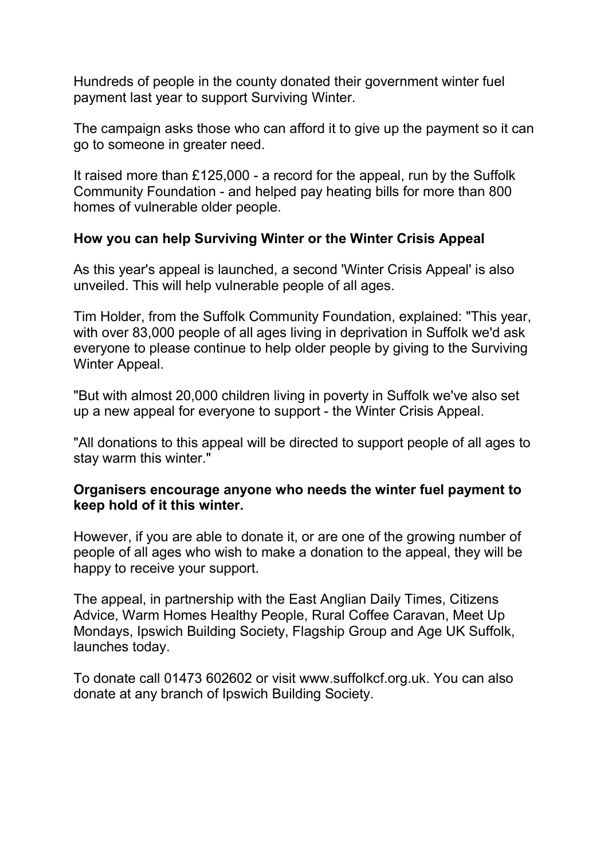Hundreds of people in the county donated their government winter fuel payment last year to support Surviving Winter.

The campaign asks those who can afford it to give up the payment so it can go to someone in greater need.

It raised more than £125,000 - a record for the appeal, run by the Suffolk Community Foundation - and helped pay heating bills for more than 800 homes of vulnerable older people.

## How you can help Surviving Winter or the Winter Crisis Appeal

As this year's appeal is launched, a second 'Winter Crisis Appeal' is also unveiled. This will help vulnerable people of all ages.

Tim Holder, from the Suffolk Community Foundation, explained: "This year, with over 83,000 people of all ages living in deprivation in Suffolk we'd ask everyone to please continue to help older people by giving to the Surviving Winter Appeal.

"But with almost 20,000 children living in poverty in Suffolk we've also set up a new appeal for everyone to support - the Winter Crisis Appeal.

"All donations to this appeal will be directed to support people of all ages to stay warm this winter."

## Organisers encourage anyone who needs the winter fuel payment to keep hold of it this winter.

However, if you are able to donate it, or are one of the growing number of people of all ages who wish to make a donation to the appeal, they will be happy to receive your support.

The appeal, in partnership with the East Anglian Daily Times, Citizens Advice, Warm Homes Healthy People, Rural Coffee Caravan, Meet Up Mondays, Ipswich Building Society, Flagship Group and Age UK Suffolk, launches today.

To donate call 01473 602602 or visit www.suffolkcf.org.uk. You can also donate at any branch of Ipswich Building Society.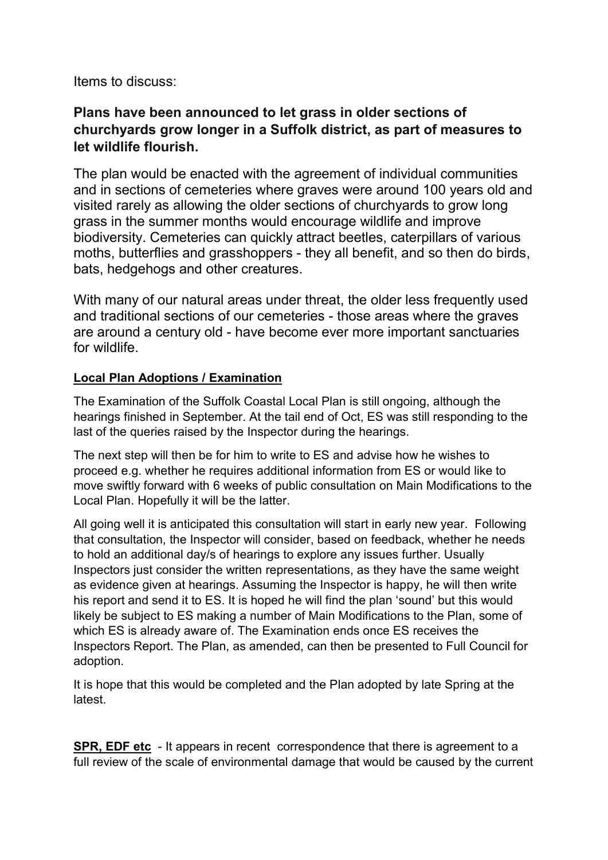Items to discuss:

# Plans have been announced to let grass in older sections of churchyards grow longer in a Suffolk district, as part of measures to let wildlife flourish.

The plan would be enacted with the agreement of individual communities and in sections of cemeteries where graves were around 100 years old and visited rarely as allowing the older sections of churchyards to grow long grass in the summer months would encourage wildlife and improve biodiversity. Cemeteries can quickly attract beetles, caterpillars of various moths, butterflies and grasshoppers - they all benefit, and so then do birds, bats, hedgehogs and other creatures.

With many of our natural areas under threat, the older less frequently used and traditional sections of our cemeteries - those areas where the graves are around a century old - have become ever more important sanctuaries for wildlife.

### Local Plan Adoptions / Examination

The Examination of the Suffolk Coastal Local Plan is still ongoing, although the hearings finished in September. At the tail end of Oct, ES was still responding to the last of the queries raised by the Inspector during the hearings.

The next step will then be for him to write to ES and advise how he wishes to proceed e.g. whether he requires additional information from ES or would like to move swiftly forward with 6 weeks of public consultation on Main Modifications to the Local Plan. Hopefully it will be the latter.

All going well it is anticipated this consultation will start in early new year. Following that consultation, the Inspector will consider, based on feedback, whether he needs to hold an additional day/s of hearings to explore any issues further. Usually Inspectors just consider the written representations, as they have the same weight as evidence given at hearings. Assuming the Inspector is happy, he will then write his report and send it to ES. It is hoped he will find the plan 'sound' but this would likely be subject to ES making a number of Main Modifications to the Plan, some of which ES is already aware of. The Examination ends once ES receives the Inspectors Report. The Plan, as amended, can then be presented to Full Council for adoption.

It is hope that this would be completed and the Plan adopted by late Spring at the latest.

SPR, EDF etc - It appears in recent correspondence that there is agreement to a full review of the scale of environmental damage that would be caused by the current